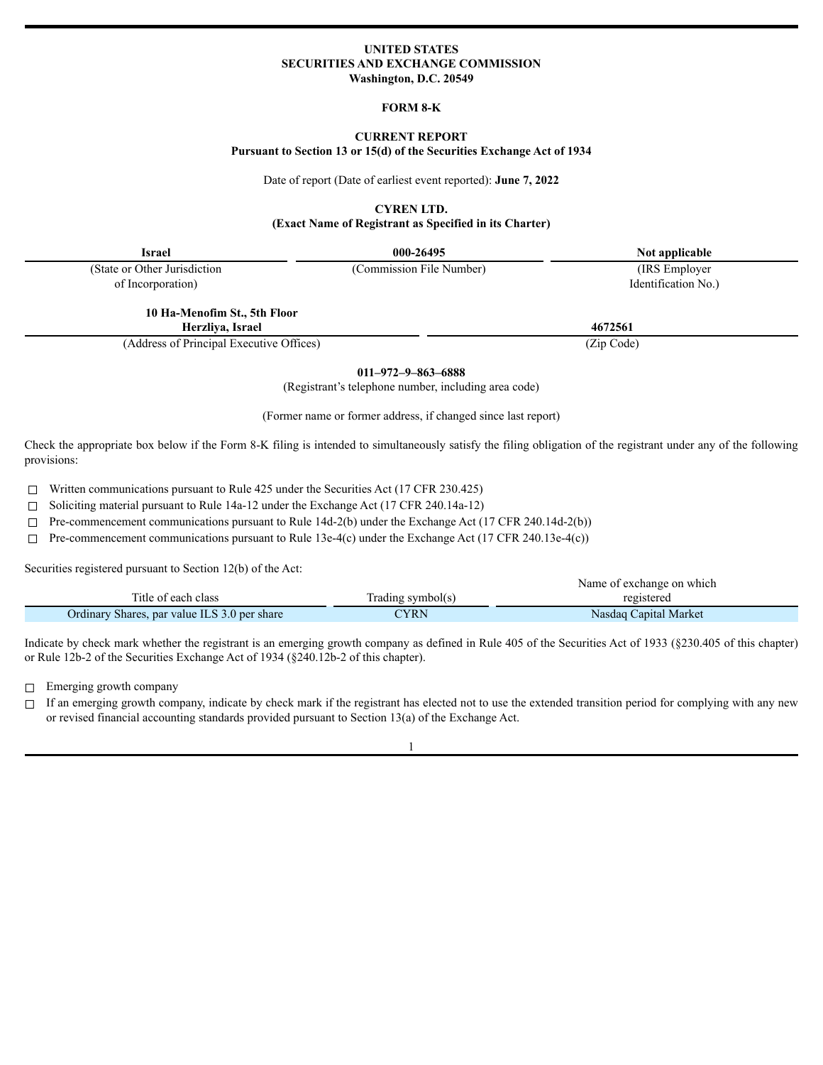### **UNITED STATES SECURITIES AND EXCHANGE COMMISSION Washington, D.C. 20549**

#### **FORM 8-K**

# **CURRENT REPORT**

**Pursuant to Section 13 or 15(d) of the Securities Exchange Act of 1934**

Date of report (Date of earliest event reported): **June 7, 2022**

**CYREN LTD.**

**(Exact Name of Registrant as Specified in its Charter)**

(State or Other Jurisdiction of Incorporation)

(Commission File Number) (IRS Employer

**Israel 000-26495 Not applicable** Identification No.)

**10 Ha-Menofim St., 5th Floor Herzliya, Israel 4672561**

(Address of Principal Executive Offices) (Zip Code)

**011–972–9–863–6888**

(Registrant's telephone number, including area code)

(Former name or former address, if changed since last report)

Check the appropriate box below if the Form 8-K filing is intended to simultaneously satisfy the filing obligation of the registrant under any of the following provisions:

☐ Written communications pursuant to Rule 425 under the Securities Act (17 CFR 230.425)

☐ Soliciting material pursuant to Rule 14a-12 under the Exchange Act (17 CFR 240.14a-12)

☐ Pre-commencement communications pursuant to Rule 14d-2(b) under the Exchange Act (17 CFR 240.14d-2(b))

 $\Box$  Pre-commencement communications pursuant to Rule 13e-4(c) under the Exchange Act (17 CFR 240.13e-4(c))

Securities registered pursuant to Section 12(b) of the Act:

|                                              |                   | Name of exchange on which |
|----------------------------------------------|-------------------|---------------------------|
| Title of each class                          | Trading symbol(s) | registered                |
| Ordinary Shares, par value ILS 3.0 per share | 7YRN              | Nasdaq Capital Market     |

Indicate by check mark whether the registrant is an emerging growth company as defined in Rule 405 of the Securities Act of 1933 (§230.405 of this chapter) or Rule 12b-2 of the Securities Exchange Act of 1934 (§240.12b-2 of this chapter).

☐ Emerging growth company

□ If an emerging growth company, indicate by check mark if the registrant has elected not to use the extended transition period for complying with any new or revised financial accounting standards provided pursuant to Section 13(a) of the Exchange Act.

1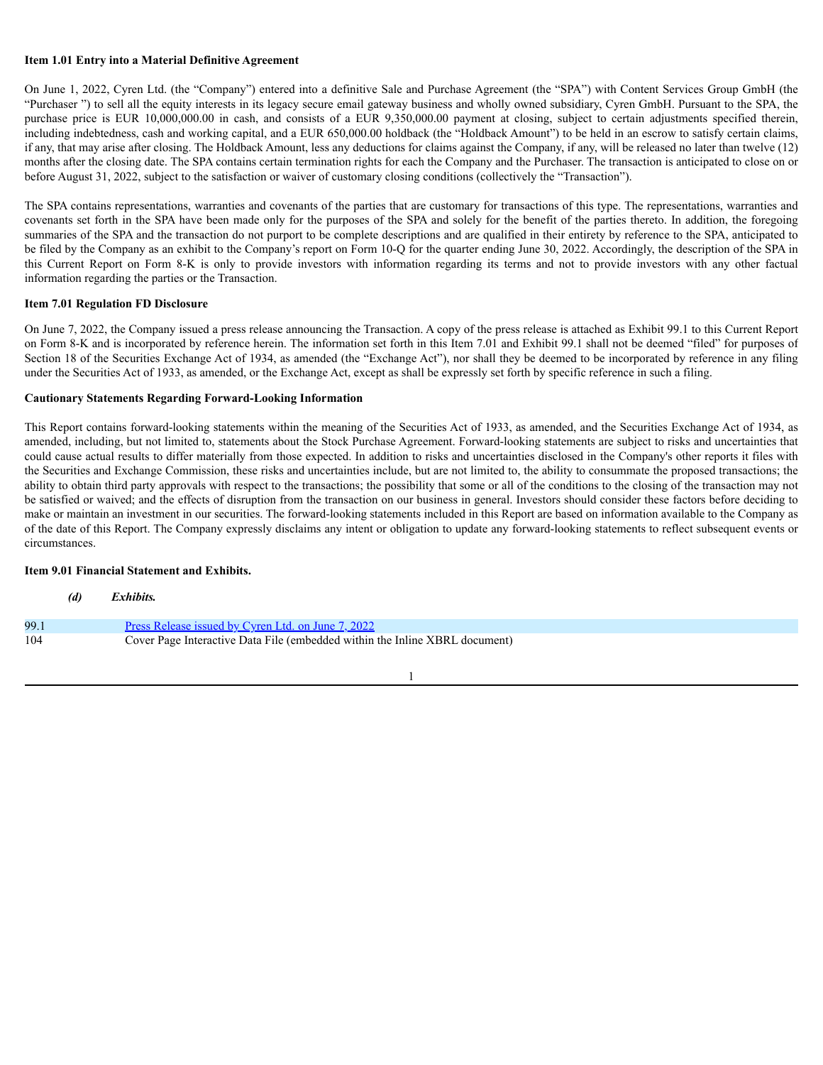## **Item 1.01 Entry into a Material Definitive Agreement**

On June 1, 2022, Cyren Ltd. (the "Company") entered into a definitive Sale and Purchase Agreement (the "SPA") with Content Services Group GmbH (the "Purchaser ") to sell all the equity interests in its legacy secure email gateway business and wholly owned subsidiary, Cyren GmbH. Pursuant to the SPA, the purchase price is EUR 10,000,000.00 in cash, and consists of a EUR 9,350,000.00 payment at closing, subject to certain adjustments specified therein, including indebtedness, cash and working capital, and a EUR 650,000.00 holdback (the "Holdback Amount") to be held in an escrow to satisfy certain claims, if any, that may arise after closing. The Holdback Amount, less any deductions for claims against the Company, if any, will be released no later than twelve (12) months after the closing date. The SPA contains certain termination rights for each the Company and the Purchaser. The transaction is anticipated to close on or before August 31, 2022, subject to the satisfaction or waiver of customary closing conditions (collectively the "Transaction").

The SPA contains representations, warranties and covenants of the parties that are customary for transactions of this type. The representations, warranties and covenants set forth in the SPA have been made only for the purposes of the SPA and solely for the benefit of the parties thereto. In addition, the foregoing summaries of the SPA and the transaction do not purport to be complete descriptions and are qualified in their entirety by reference to the SPA, anticipated to be filed by the Company as an exhibit to the Company's report on Form 10-Q for the quarter ending June 30, 2022. Accordingly, the description of the SPA in this Current Report on Form 8-K is only to provide investors with information regarding its terms and not to provide investors with any other factual information regarding the parties or the Transaction.

### **Item 7.01 Regulation FD Disclosure**

On June 7, 2022, the Company issued a press release announcing the Transaction. A copy of the press release is attached as Exhibit 99.1 to this Current Report on Form 8-K and is incorporated by reference herein. The information set forth in this Item 7.01 and Exhibit 99.1 shall not be deemed "filed" for purposes of Section 18 of the Securities Exchange Act of 1934, as amended (the "Exchange Act"), nor shall they be deemed to be incorporated by reference in any filing under the Securities Act of 1933, as amended, or the Exchange Act, except as shall be expressly set forth by specific reference in such a filing.

#### **Cautionary Statements Regarding Forward-Looking Information**

This Report contains forward-looking statements within the meaning of the Securities Act of 1933, as amended, and the Securities Exchange Act of 1934, as amended, including, but not limited to, statements about the Stock Purchase Agreement. Forward-looking statements are subject to risks and uncertainties that could cause actual results to differ materially from those expected. In addition to risks and uncertainties disclosed in the Company's other reports it files with the Securities and Exchange Commission, these risks and uncertainties include, but are not limited to, the ability to consummate the proposed transactions; the ability to obtain third party approvals with respect to the transactions; the possibility that some or all of the conditions to the closing of the transaction may not be satisfied or waived; and the effects of disruption from the transaction on our business in general. Investors should consider these factors before deciding to make or maintain an investment in our securities. The forward-looking statements included in this Report are based on information available to the Company as of the date of this Report. The Company expressly disclaims any intent or obligation to update any forward-looking statements to reflect subsequent events or circumstances.

#### **Item 9.01 Financial Statement and Exhibits.**

|      | (d) | Exhibits.                                                                   |
|------|-----|-----------------------------------------------------------------------------|
| 99.1 |     | Press Release issued by Cyren Ltd. on June 7, 2022                          |
| 104  |     | Cover Page Interactive Data File (embedded within the Inline XBRL document) |

# 1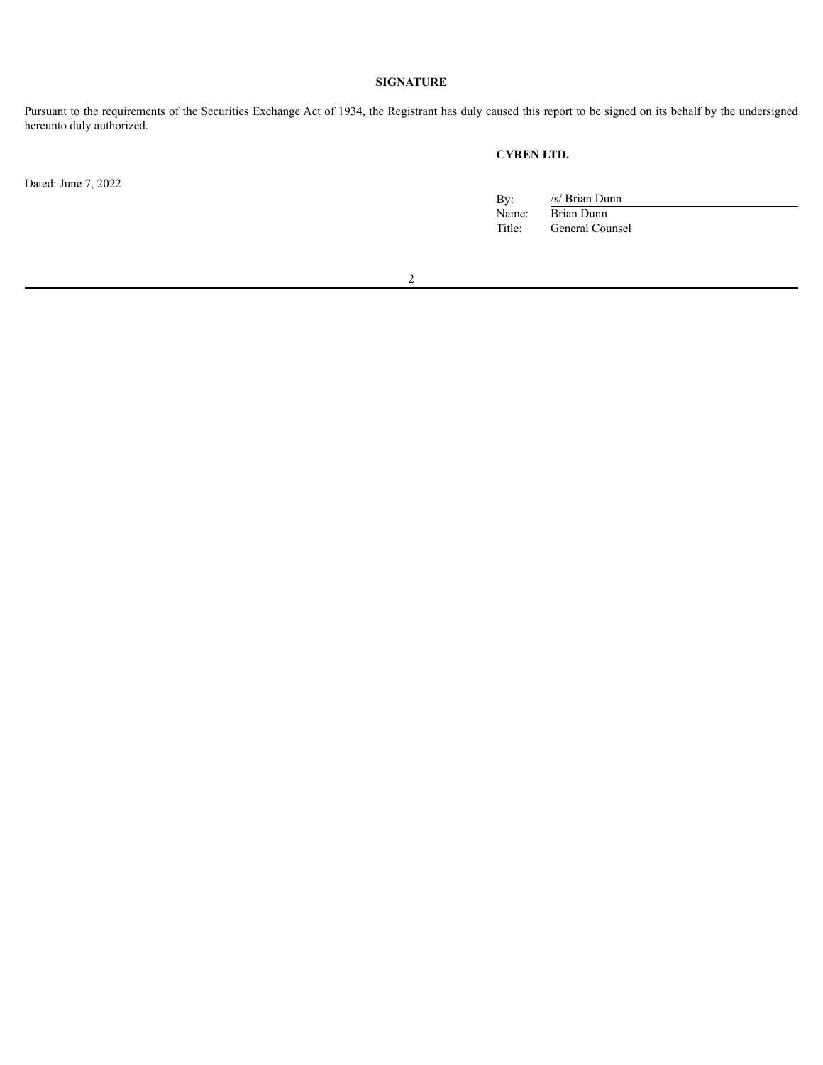# **SIGNATURE**

Pursuant to the requirements of the Securities Exchange Act of 1934, the Registrant has duly caused this report to be signed on its behalf by the undersigned hereunto duly authorized.

Dated: June 7, 2022

# **CYREN LTD.**

| By:    | /s/ Brian Dunn  |
|--------|-----------------|
| Name:  | Brian Dunn      |
| Title: | General Counsel |

2